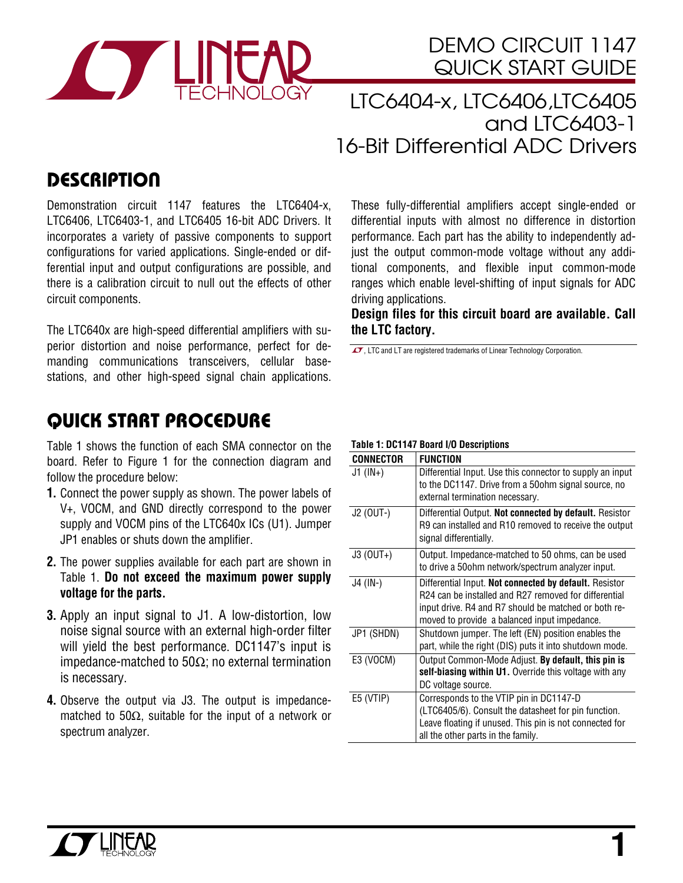

# DEMO CIRCUIT 1147 QUICK START GUIDE

LTC6404-x, LTC6406,LTC6405 and LTC6403-1 16-Bit Differential ADC Drivers

## **DESCRIPTION**

Demonstration circuit 1147 features the LTC6404-x, LTC6406, LTC6403-1, and LTC6405 16-bit ADC Drivers. It incorporates a variety of passive components to support configurations for varied applications. Single-ended or differential input and output configurations are possible, and there is a calibration circuit to null out the effects of other circuit components.

The LTC640x are high-speed differential amplifiers with superior distortion and noise performance, perfect for demanding communications transceivers, cellular basestations, and other high-speed signal chain applications.

# QUICK START PROCEDURE

Table 1 shows the function of each SMA connector on the board. Refer to Figure 1 for the connection diagram and follow the procedure below:

- **1.** Connect the power supply as shown. The power labels of V+, VOCM, and GND directly correspond to the power supply and VOCM pins of the LTC640x ICs (U1). Jumper JP1 enables or shuts down the amplifier.
- **2.** The power supplies available for each part are shown in Table 1. **Do not exceed the maximum power supply voltage for the parts.**
- **3.** Apply an input signal to J1. A low-distortion, low noise signal source with an external high-order filter will yield the best performance. DC1147's input is impedance-matched to 50Ω; no external termination is necessary.
- **4.** Observe the output via J3. The output is impedancematched to 50 $\Omega$ , suitable for the input of a network or spectrum analyzer.

These fully-differential amplifiers accept single-ended or differential inputs with almost no difference in distortion performance. Each part has the ability to independently adjust the output common-mode voltage without any additional components, and flexible input common-mode ranges which enable level-shifting of input signals for ADC driving applications.

**Design files for this circuit board are available. Call the LTC factory.** 

 $\overline{\mathcal{L}^{\bullet}}$ , LTC and LT are registered trademarks of Linear Technology Corporation.

#### **Table 1: DC1147 Board I/O Descriptions**

| CONNECTOR      | <b>FUNCTION</b>                                                                                                                                                                                                         |  |  |
|----------------|-------------------------------------------------------------------------------------------------------------------------------------------------------------------------------------------------------------------------|--|--|
| $J1$ ( $IN+$ ) | Differential Input. Use this connector to supply an input<br>to the DC1147. Drive from a 50ohm signal source, no<br>external termination necessary.                                                                     |  |  |
| J2 (OUT-)      | Differential Output. Not connected by default. Resistor                                                                                                                                                                 |  |  |
|                | R9 can installed and R10 removed to receive the output<br>signal differentially.                                                                                                                                        |  |  |
| $J3$ (OUT+)    | Output. Impedance-matched to 50 ohms, can be used<br>to drive a 50 ohm network/spectrum analyzer input.                                                                                                                 |  |  |
| J4 (IN-)       | Differential Input. Not connected by default. Resistor<br>R24 can be installed and R27 removed for differential<br>input drive. R4 and R7 should be matched or both re-<br>moved to provide a balanced input impedance. |  |  |
| JP1 (SHDN)     | Shutdown jumper. The left (EN) position enables the<br>part, while the right (DIS) puts it into shutdown mode.                                                                                                          |  |  |
| E3 (VOCM)      | Output Common-Mode Adjust. By default, this pin is<br>self-biasing within U1. Override this voltage with any<br>DC voltage source.                                                                                      |  |  |
| E5 (VTIP)      | Corresponds to the VTIP pin in DC1147-D                                                                                                                                                                                 |  |  |
|                | (LTC6405/6). Consult the datasheet for pin function.                                                                                                                                                                    |  |  |
|                | Leave floating if unused. This pin is not connected for                                                                                                                                                                 |  |  |
|                | all the other parts in the family.                                                                                                                                                                                      |  |  |

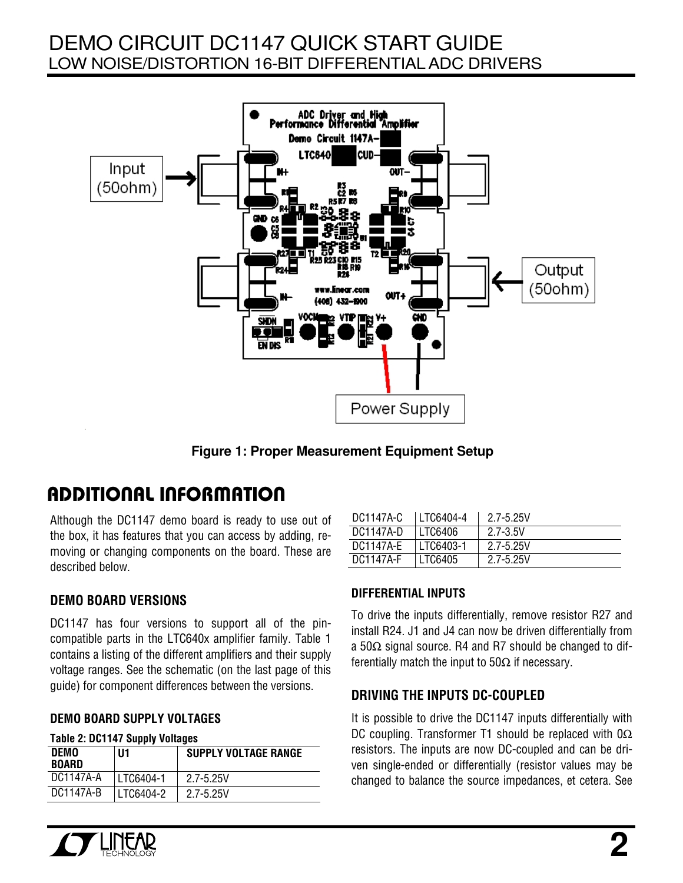## DEMO CIRCUIT DC1147 QUICK START GUIDE LOW NOISE/DISTORTION 16-BIT DIFFERENTIAL ADC DRIVERS



**Figure 1: Proper Measurement Equipment Setup** 

# ADDITIONAL INFORMATION

Although the DC1147 demo board is ready to use out of the box, it has features that you can access by adding, removing or changing components on the board. These are described below.

### **DEMO BOARD VERSIONS**

DC1147 has four versions to support all of the pincompatible parts in the LTC640x amplifier family. Table 1 contains a listing of the different amplifiers and their supply voltage ranges. See the schematic (on the last page of this guide) for component differences between the versions.

#### **DEMO BOARD SUPPLY VOLTAGES**

#### **Table 2: DC1147 Supply Voltages**

| <b>DEMO</b><br><b>BOARD</b> | U1        | <b>SUPPLY VOLTAGE RANGE</b> |
|-----------------------------|-----------|-----------------------------|
| DC1147A-A                   | LTC6404-1 | 2.7-5.25V                   |
| DC1147A-B                   | LTC6404-2 | 2.7-5.25V                   |

| DC1147A-C | LTC6404-4 | 2.7-5.25V |
|-----------|-----------|-----------|
| DC1147A-D | LTC6406   | 2.7-3.5V  |
| DC1147A-E | LTC6403-1 | 2.7-5.25V |
| DC1147A-F | LTC6405   | 2.7-5.25V |

### **DIFFERENTIAL INPUTS**

To drive the inputs differentially, remove resistor R27 and install R24. J1 and J4 can now be driven differentially from a 50Ω signal source. R4 and R7 should be changed to differentially match the input to  $50\Omega$  if necessary.

### **DRIVING THE INPUTS DC-COUPLED**

It is possible to drive the DC1147 inputs differentially with DC coupling. Transformer T1 should be replaced with 0Ω resistors. The inputs are now DC-coupled and can be driven single-ended or differentially (resistor values may be changed to balance the source impedances, et cetera. See

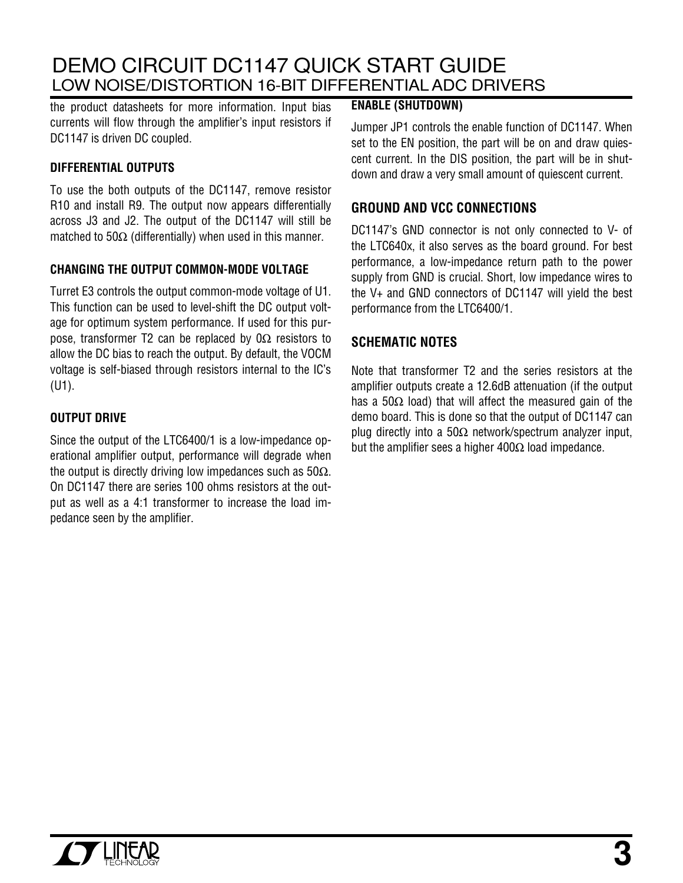## DEMO CIRCUIT DC1147 QUICK START GUIDE LOW NOISE/DISTORTION 16-BIT DIFFERENTIAL ADC DRIVERS

the product datasheets for more information. Input bias currents will flow through the amplifier's input resistors if DC1147 is driven DC coupled.

#### **DIFFERENTIAL OUTPUTS**

To use the both outputs of the DC1147, remove resistor R10 and install R9. The output now appears differentially across J3 and J2. The output of the DC1147 will still be matched to 50 $\Omega$  (differentially) when used in this manner.

#### **CHANGING THE OUTPUT COMMON-MODE VOLTAGE**

Turret E3 controls the output common-mode voltage of U1. This function can be used to level-shift the DC output voltage for optimum system performance. If used for this purpose, transformer T2 can be replaced by  $0\Omega$  resistors to allow the DC bias to reach the output. By default, the VOCM voltage is self-biased through resistors internal to the IC's (U1).

#### **OUTPUT DRIVE**

Since the output of the LTC6400/1 is a low-impedance operational amplifier output, performance will degrade when the output is directly driving low impedances such as  $50\Omega$ . On DC1147 there are series 100 ohms resistors at the output as well as a 4:1 transformer to increase the load impedance seen by the amplifier.

#### **ENABLE (SHUTDOWN)**

Jumper JP1 controls the enable function of DC1147. When set to the EN position, the part will be on and draw quiescent current. In the DIS position, the part will be in shutdown and draw a very small amount of quiescent current.

### **GROUND AND VCC CONNECTIONS**

DC1147's GND connector is not only connected to V- of the LTC640x, it also serves as the board ground. For best performance, a low-impedance return path to the power supply from GND is crucial. Short, low impedance wires to the V+ and GND connectors of DC1147 will yield the best performance from the LTC6400/1.

### **SCHEMATIC NOTES**

Note that transformer T2 and the series resistors at the amplifier outputs create a 12.6dB attenuation (if the output has a 50 $\Omega$  load) that will affect the measured gain of the demo board. This is done so that the output of DC1147 can plug directly into a 50Ω network/spectrum analyzer input, but the amplifier sees a higher  $400\Omega$  load impedance.